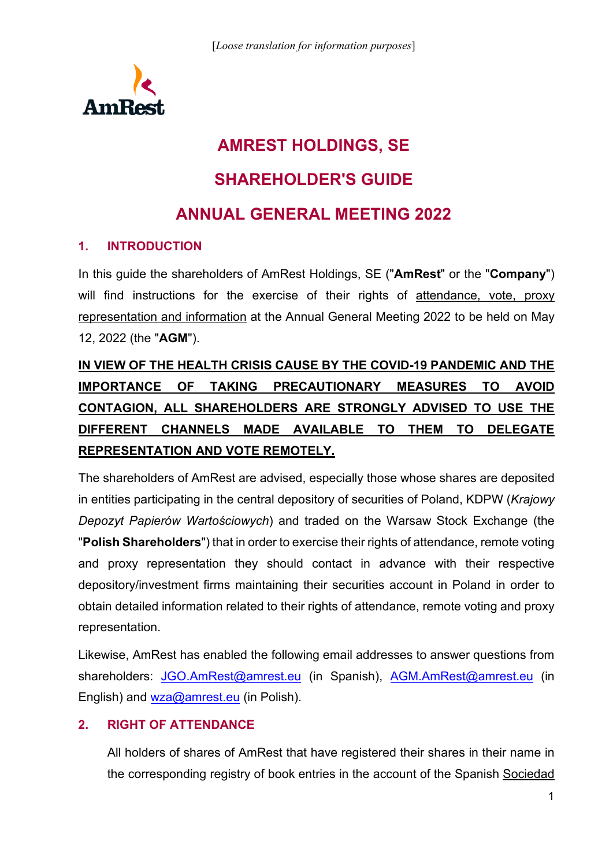

# **AMREST HOLDINGS, SE**

## **SHAREHOLDER'S GUIDE**

## **ANNUAL GENERAL MEETING 2022**

### **1. INTRODUCTION**

In this guide the shareholders of AmRest Holdings, SE ("**AmRest**" or the "**Company**") will find instructions for the exercise of their rights of attendance, vote, proxy representation and information at the Annual General Meeting 2022 to be held on May 12, 2022 (the "**AGM**").

# **IN VIEW OF THE HEALTH CRISIS CAUSE BY THE COVID-19 PANDEMIC AND THE IMPORTANCE OF TAKING PRECAUTIONARY MEASURES TO AVOID CONTAGION, ALL SHAREHOLDERS ARE STRONGLY ADVISED TO USE THE DIFFERENT CHANNELS MADE AVAILABLE TO THEM TO DELEGATE REPRESENTATION AND VOTE REMOTELY.**

The shareholders of AmRest are advised, especially those whose shares are deposited in entities participating in the central depository of securities of Poland, KDPW (*Krajowy Depozyt Papierów Wartościowych*) and traded on the Warsaw Stock Exchange (the "**Polish Shareholders**") that in order to exercise their rights of attendance, remote voting and proxy representation they should contact in advance with their respective depository/investment firms maintaining their securities account in Poland in order to obtain detailed information related to their rights of attendance, remote voting and proxy representation.

Likewise, AmRest has enabled the following email addresses to answer questions from shareholders: [JGO.AmRest@amrest.eu](mailto:JGO.AmRest@amrest.eu) (in Spanish), [AGM.AmRest@amrest.eu](mailto:AGM.AmRest@amrest.eu) (in English) and [wza@amrest.eu](mailto:wza@amrest.eu) (in Polish).

### **2. RIGHT OF ATTENDANCE**

All holders of shares of AmRest that have registered their shares in their name in the corresponding registry of book entries in the account of the Spanish Sociedad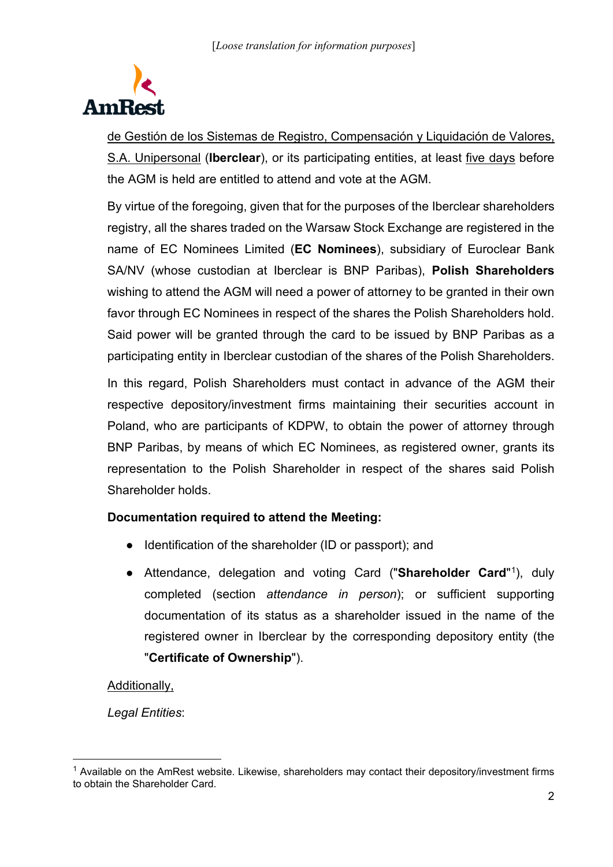

de Gestión de los Sistemas de Registro, Compensación y Liquidación de Valores, S.A. Unipersonal (**Iberclear**), or its participating entities, at least five days before the AGM is held are entitled to attend and vote at the AGM.

By virtue of the foregoing, given that for the purposes of the Iberclear shareholders registry, all the shares traded on the Warsaw Stock Exchange are registered in the name of EC Nominees Limited (**EC Nominees**), subsidiary of Euroclear Bank SA/NV (whose custodian at Iberclear is BNP Paribas), **Polish Shareholders** wishing to attend the AGM will need a power of attorney to be granted in their own favor through EC Nominees in respect of the shares the Polish Shareholders hold. Said power will be granted through the card to be issued by BNP Paribas as a participating entity in Iberclear custodian of the shares of the Polish Shareholders.

In this regard, Polish Shareholders must contact in advance of the AGM their respective depository/investment firms maintaining their securities account in Poland, who are participants of KDPW, to obtain the power of attorney through BNP Paribas, by means of which EC Nominees, as registered owner, grants its representation to the Polish Shareholder in respect of the shares said Polish Shareholder holds.

### **Documentation required to attend the Meeting:**

- Identification of the shareholder (ID or passport); and
- Attendance, delegation and voting Card ("**Shareholder Card**"[1](#page-1-0)), duly completed (section *attendance in person*); or sufficient supporting documentation of its status as a shareholder issued in the name of the registered owner in Iberclear by the corresponding depository entity (the "**Certificate of Ownership**").

#### Additionally,

*Legal Entities*:

<span id="page-1-0"></span> $1$  Available on the AmRest website. Likewise, shareholders may contact their depository/investment firms to obtain the Shareholder Card.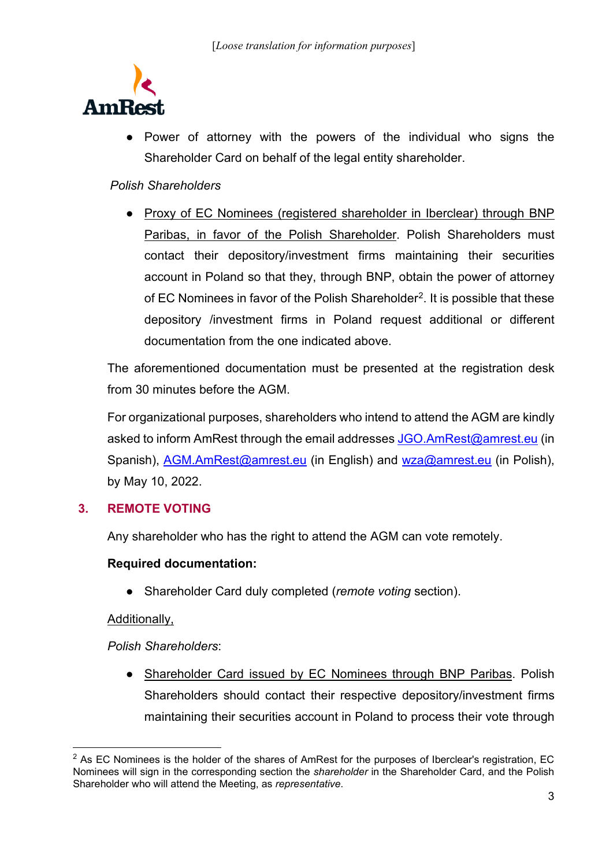

● Power of attorney with the powers of the individual who signs the Shareholder Card on behalf of the legal entity shareholder.

## *Polish Shareholders*

● Proxy of EC Nominees (registered shareholder in Iberclear) through BNP Paribas, in favor of the Polish Shareholder. Polish Shareholders must contact their depository/investment firms maintaining their securities account in Poland so that they, through BNP, obtain the power of attorney of EC Nominees in favor of the Polish Shareholder[2](#page-2-0). It is possible that these depository /investment firms in Poland request additional or different documentation from the one indicated above.

The aforementioned documentation must be presented at the registration desk from 30 minutes before the AGM.

For organizational purposes, shareholders who intend to attend the AGM are kindly asked to inform AmRest through the email addresses [JGO.AmRest@amrest.eu](mailto:JGO.AmRest@amrest.eu) (in Spanish), [AGM.AmRest@amrest.eu](mailto:AGM.AmRest@amrest.eu) (in English) and [wza@amrest.eu](mailto:wza@amrest.eu) (in Polish), by May 10, 2022.

## **3. REMOTE VOTING**

Any shareholder who has the right to attend the AGM can vote remotely.

## **Required documentation:**

● Shareholder Card duly completed (*remote voting* section).

### Additionally,

*Polish Shareholders*:

• Shareholder Card issued by EC Nominees through BNP Paribas. Polish Shareholders should contact their respective depository/investment firms maintaining their securities account in Poland to process their vote through

<span id="page-2-0"></span> $2$  As EC Nominees is the holder of the shares of AmRest for the purposes of Iberclear's registration, EC Nominees will sign in the corresponding section the *shareholder* in the Shareholder Card, and the Polish Shareholder who will attend the Meeting, as *representative*.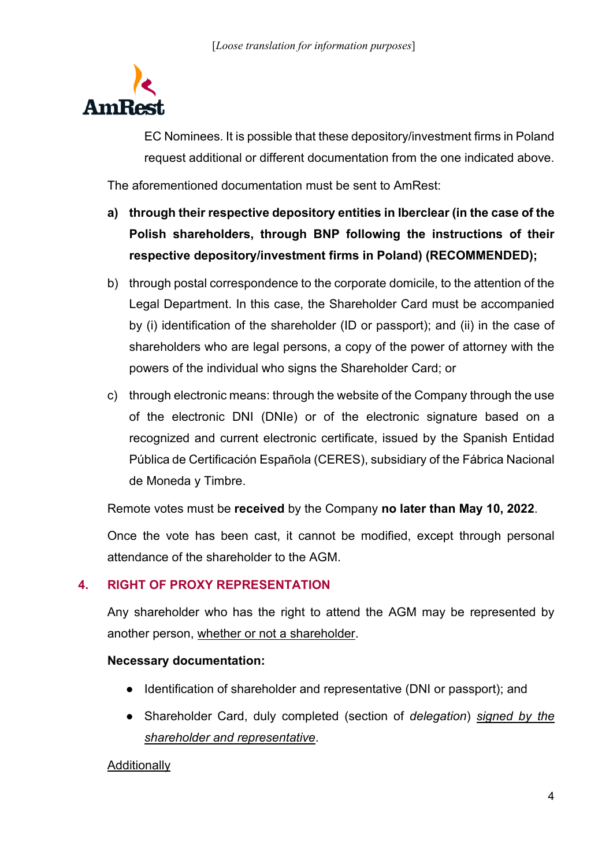

EC Nominees. It is possible that these depository/investment firms in Poland request additional or different documentation from the one indicated above.

The aforementioned documentation must be sent to AmRest:

- **a) through their respective depository entities in Iberclear (in the case of the Polish shareholders, through BNP following the instructions of their respective depository/investment firms in Poland) (RECOMMENDED);**
- b) through postal correspondence to the corporate domicile, to the attention of the Legal Department. In this case, the Shareholder Card must be accompanied by (i) identification of the shareholder (ID or passport); and (ii) in the case of shareholders who are legal persons, a copy of the power of attorney with the powers of the individual who signs the Shareholder Card; or
- c) through electronic means: through the website of the Company through the use of the electronic DNI (DNIe) or of the electronic signature based on a recognized and current electronic certificate, issued by the Spanish Entidad Pública de Certificación Española (CERES), subsidiary of the Fábrica Nacional de Moneda y Timbre.

Remote votes must be **received** by the Company **no later than May 10, 2022**.

Once the vote has been cast, it cannot be modified, except through personal attendance of the shareholder to the AGM.

### **4. RIGHT OF PROXY REPRESENTATION**

Any shareholder who has the right to attend the AGM may be represented by another person, whether or not a shareholder.

#### **Necessary documentation:**

- Identification of shareholder and representative (DNI or passport); and
- Shareholder Card, duly completed (section of *delegation*) *signed by the shareholder and representative*.

#### Additionally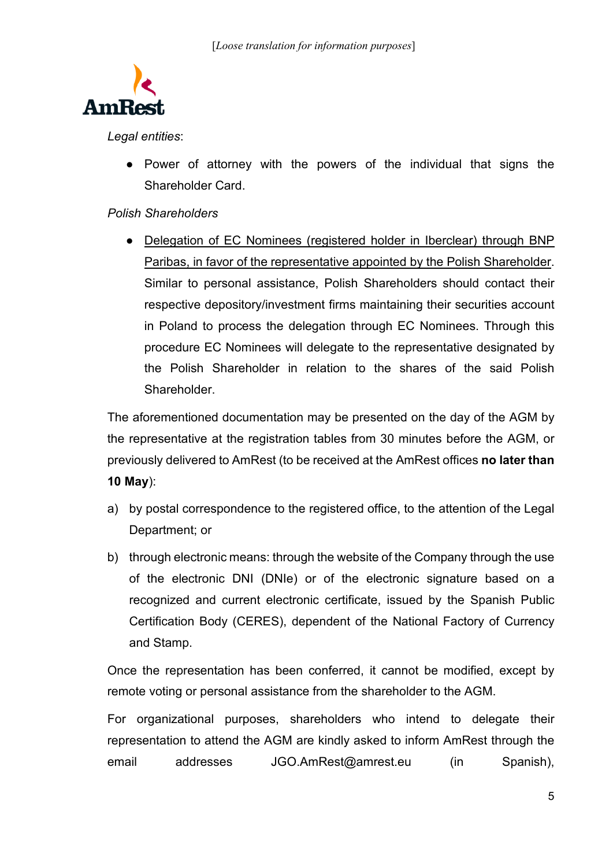

*Legal entities*:

● Power of attorney with the powers of the individual that signs the Shareholder Card.

## *Polish Shareholders*

• Delegation of EC Nominees (registered holder in Iberclear) through BNP Paribas, in favor of the representative appointed by the Polish Shareholder. Similar to personal assistance, Polish Shareholders should contact their respective depository/investment firms maintaining their securities account in Poland to process the delegation through EC Nominees. Through this procedure EC Nominees will delegate to the representative designated by the Polish Shareholder in relation to the shares of the said Polish Shareholder.

The aforementioned documentation may be presented on the day of the AGM by the representative at the registration tables from 30 minutes before the AGM, or previously delivered to AmRest (to be received at the AmRest offices **no later than 10 May**):

- a) by postal correspondence to the registered office, to the attention of the Legal Department; or
- b) through electronic means: through the website of the Company through the use of the electronic DNI (DNIe) or of the electronic signature based on a recognized and current electronic certificate, issued by the Spanish Public Certification Body (CERES), dependent of the National Factory of Currency and Stamp.

Once the representation has been conferred, it cannot be modified, except by remote voting or personal assistance from the shareholder to the AGM.

For organizational purposes, shareholders who intend to delegate their representation to attend the AGM are kindly asked to inform AmRest through the email addresses JGO.AmRest@amrest.eu (in Spanish),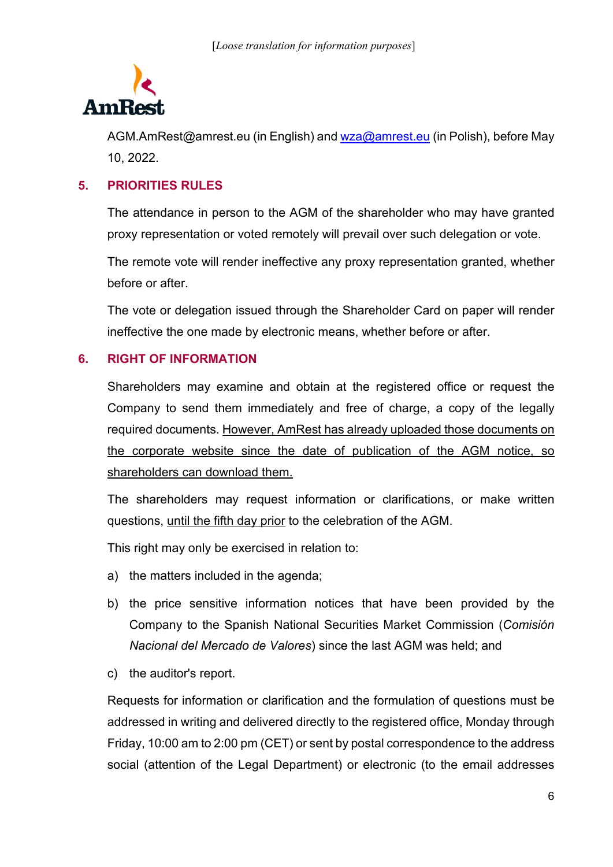

AGM.AmRest@amrest.eu (in English) and [wza@amrest.eu](mailto:wza@amrest.eu) (in Polish), before May 10, 2022.

#### **5. PRIORITIES RULES**

The attendance in person to the AGM of the shareholder who may have granted proxy representation or voted remotely will prevail over such delegation or vote.

The remote vote will render ineffective any proxy representation granted, whether before or after.

The vote or delegation issued through the Shareholder Card on paper will render ineffective the one made by electronic means, whether before or after.

#### **6. RIGHT OF INFORMATION**

Shareholders may examine and obtain at the registered office or request the Company to send them immediately and free of charge, a copy of the legally required documents. However, AmRest has already uploaded those documents on the corporate website since the date of publication of the AGM notice, so shareholders can download them.

The shareholders may request information or clarifications, or make written questions, until the fifth day prior to the celebration of the AGM.

This right may only be exercised in relation to:

- a) the matters included in the agenda;
- b) the price sensitive information notices that have been provided by the Company to the Spanish National Securities Market Commission (*Comisión Nacional del Mercado de Valores*) since the last AGM was held; and
- c) the auditor's report.

Requests for information or clarification and the formulation of questions must be addressed in writing and delivered directly to the registered office, Monday through Friday, 10:00 am to 2:00 pm (CET) or sent by postal correspondence to the address social (attention of the Legal Department) or electronic (to the email addresses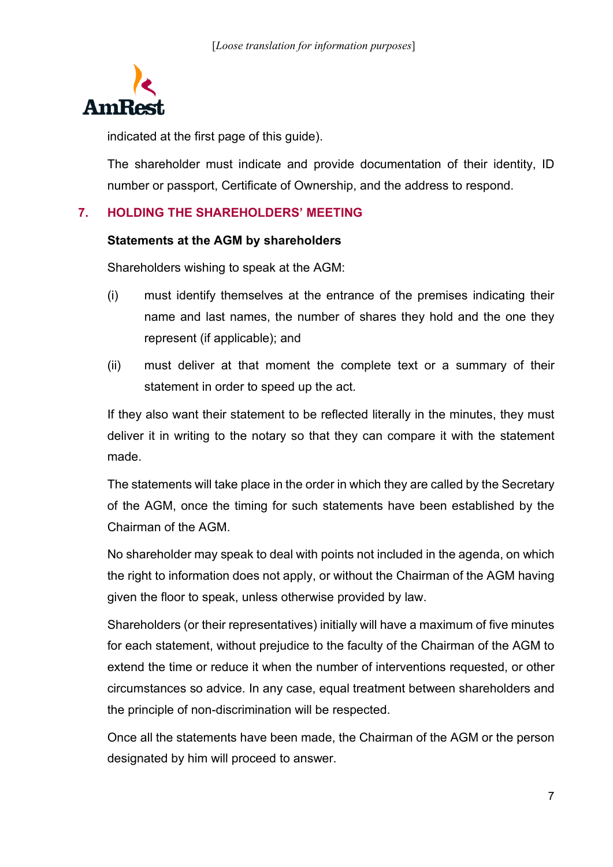

indicated at the first page of this guide).

The shareholder must indicate and provide documentation of their identity, ID number or passport, Certificate of Ownership, and the address to respond.

#### **7. HOLDING THE SHAREHOLDERS' MEETING**

#### **Statements at the AGM by shareholders**

Shareholders wishing to speak at the AGM:

- (i) must identify themselves at the entrance of the premises indicating their name and last names, the number of shares they hold and the one they represent (if applicable); and
- (ii) must deliver at that moment the complete text or a summary of their statement in order to speed up the act.

If they also want their statement to be reflected literally in the minutes, they must deliver it in writing to the notary so that they can compare it with the statement made.

The statements will take place in the order in which they are called by the Secretary of the AGM, once the timing for such statements have been established by the Chairman of the AGM.

No shareholder may speak to deal with points not included in the agenda, on which the right to information does not apply, or without the Chairman of the AGM having given the floor to speak, unless otherwise provided by law.

Shareholders (or their representatives) initially will have a maximum of five minutes for each statement, without prejudice to the faculty of the Chairman of the AGM to extend the time or reduce it when the number of interventions requested, or other circumstances so advice. In any case, equal treatment between shareholders and the principle of non-discrimination will be respected.

Once all the statements have been made, the Chairman of the AGM or the person designated by him will proceed to answer.